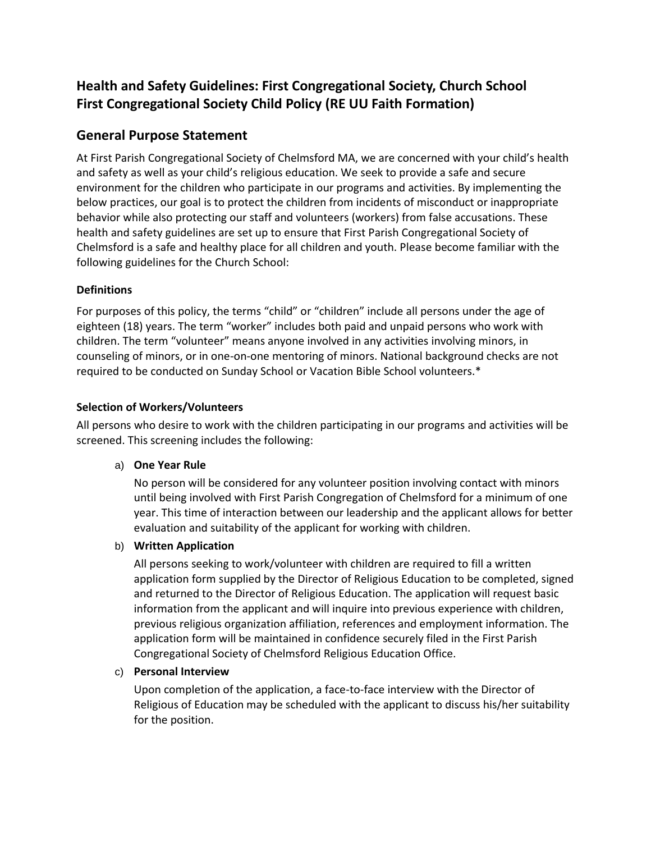# **Health and Safety Guidelines: First Congregational Society, Church School First Congregational Society Child Policy (RE UU Faith Formation)**

## **General Purpose Statement**

At First Parish Congregational Society of Chelmsford MA, we are concerned with your child's health and safety as well as your child's religious education. We seek to provide a safe and secure environment for the children who participate in our programs and activities. By implementing the below practices, our goal is to protect the children from incidents of misconduct or inappropriate behavior while also protecting our staff and volunteers (workers) from false accusations. These health and safety guidelines are set up to ensure that First Parish Congregational Society of Chelmsford is a safe and healthy place for all children and youth. Please become familiar with the following guidelines for the Church School:

### **Definitions**

For purposes of this policy, the terms "child" or "children" include all persons under the age of eighteen (18) years. The term "worker" includes both paid and unpaid persons who work with children. The term "volunteer" means anyone involved in any activities involving minors, in counseling of minors, or in one-on-one mentoring of minors. National background checks are not required to be conducted on Sunday School or Vacation Bible School volunteers.\*

### **Selection of Workers/Volunteers**

All persons who desire to work with the children participating in our programs and activities will be screened. This screening includes the following:

### a) **One Year Rule**

No person will be considered for any volunteer position involving contact with minors until being involved with First Parish Congregation of Chelmsford for a minimum of one year. This time of interaction between our leadership and the applicant allows for better evaluation and suitability of the applicant for working with children.

### b) **Written Application**

All persons seeking to work/volunteer with children are required to fill a written application form supplied by the Director of Religious Education to be completed, signed and returned to the Director of Religious Education. The application will request basic information from the applicant and will inquire into previous experience with children, previous religious organization affiliation, references and employment information. The application form will be maintained in confidence securely filed in the First Parish Congregational Society of Chelmsford Religious Education Office.

### c) **Personal Interview**

Upon completion of the application, a face-to-face interview with the Director of Religious of Education may be scheduled with the applicant to discuss his/her suitability for the position.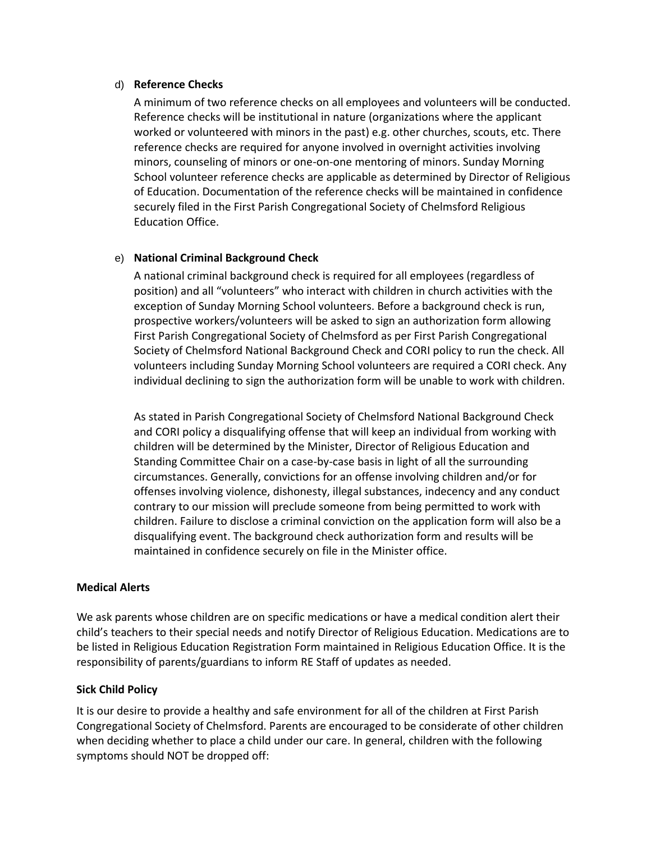#### d) **Reference Checks**

A minimum of two reference checks on all employees and volunteers will be conducted. Reference checks will be institutional in nature (organizations where the applicant worked or volunteered with minors in the past) e.g. other churches, scouts, etc. There reference checks are required for anyone involved in overnight activities involving minors, counseling of minors or one-on-one mentoring of minors. Sunday Morning School volunteer reference checks are applicable as determined by Director of Religious of Education. Documentation of the reference checks will be maintained in confidence securely filed in the First Parish Congregational Society of Chelmsford Religious Education Office.

#### e) **National Criminal Background Check**

A national criminal background check is required for all employees (regardless of position) and all "volunteers" who interact with children in church activities with the exception of Sunday Morning School volunteers. Before a background check is run, prospective workers/volunteers will be asked to sign an authorization form allowing First Parish Congregational Society of Chelmsford as per First Parish Congregational Society of Chelmsford National Background Check and CORI policy to run the check. All volunteers including Sunday Morning School volunteers are required a CORI check. Any individual declining to sign the authorization form will be unable to work with children.

As stated in Parish Congregational Society of Chelmsford National Background Check and CORI policy a disqualifying offense that will keep an individual from working with children will be determined by the Minister, Director of Religious Education and Standing Committee Chair on a case-by-case basis in light of all the surrounding circumstances. Generally, convictions for an offense involving children and/or for offenses involving violence, dishonesty, illegal substances, indecency and any conduct contrary to our mission will preclude someone from being permitted to work with children. Failure to disclose a criminal conviction on the application form will also be a disqualifying event. The background check authorization form and results will be maintained in confidence securely on file in the Minister office.

#### **Medical Alerts**

We ask parents whose children are on specific medications or have a medical condition alert their child's teachers to their special needs and notify Director of Religious Education. Medications are to be listed in Religious Education Registration Form maintained in Religious Education Office. It is the responsibility of parents/guardians to inform RE Staff of updates as needed.

#### **Sick Child Policy**

It is our desire to provide a healthy and safe environment for all of the children at First Parish Congregational Society of Chelmsford. Parents are encouraged to be considerate of other children when deciding whether to place a child under our care. In general, children with the following symptoms should NOT be dropped off: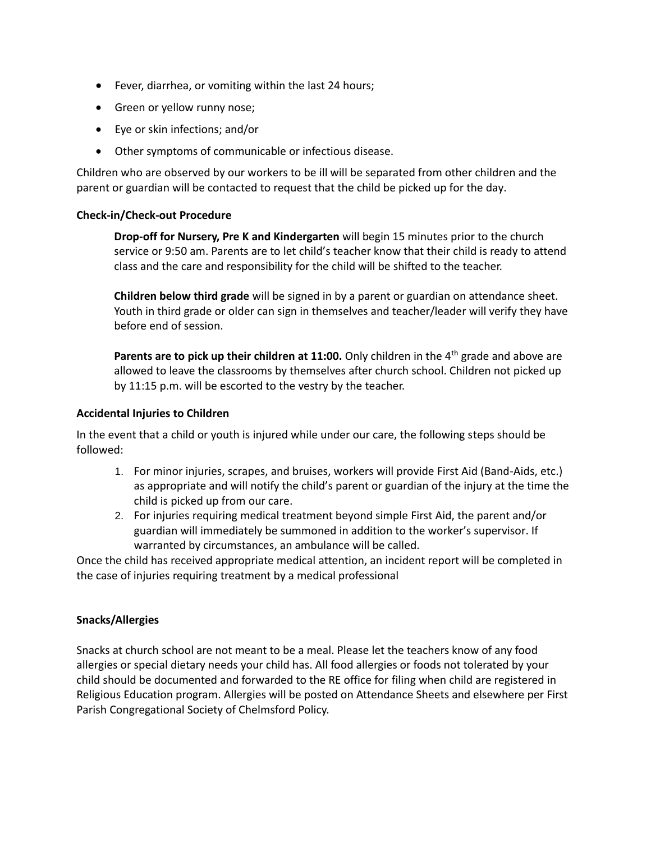- Fever, diarrhea, or vomiting within the last 24 hours;
- Green or yellow runny nose;
- Eye or skin infections; and/or
- Other symptoms of communicable or infectious disease.

Children who are observed by our workers to be ill will be separated from other children and the parent or guardian will be contacted to request that the child be picked up for the day.

#### **Check-in/Check-out Procedure**

**Drop-off for Nursery, Pre K and Kindergarten** will begin 15 minutes prior to the church service or 9:50 am. Parents are to let child's teacher know that their child is ready to attend class and the care and responsibility for the child will be shifted to the teacher.

**Children below third grade** will be signed in by a parent or guardian on attendance sheet. Youth in third grade or older can sign in themselves and teacher/leader will verify they have before end of session.

**Parents are to pick up their children at 11:00.** Only children in the 4<sup>th</sup> grade and above are allowed to leave the classrooms by themselves after church school. Children not picked up by 11:15 p.m. will be escorted to the vestry by the teacher.

#### **Accidental Injuries to Children**

In the event that a child or youth is injured while under our care, the following steps should be followed:

- 1. For minor injuries, scrapes, and bruises, workers will provide First Aid (Band-Aids, etc.) as appropriate and will notify the child's parent or guardian of the injury at the time the child is picked up from our care.
- 2. For injuries requiring medical treatment beyond simple First Aid, the parent and/or guardian will immediately be summoned in addition to the worker's supervisor. If warranted by circumstances, an ambulance will be called.

Once the child has received appropriate medical attention, an incident report will be completed in the case of injuries requiring treatment by a medical professional

### **Snacks/Allergies**

Snacks at church school are not meant to be a meal. Please let the teachers know of any food allergies or special dietary needs your child has. All food allergies or foods not tolerated by your child should be documented and forwarded to the RE office for filing when child are registered in Religious Education program. Allergies will be posted on Attendance Sheets and elsewhere per First Parish Congregational Society of Chelmsford Policy.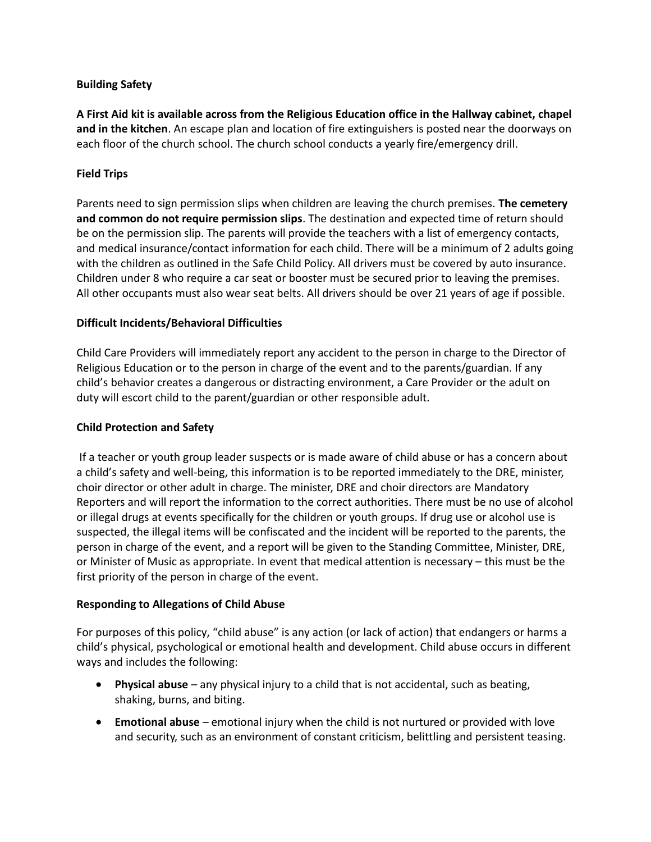### **Building Safety**

**A First Aid kit is available across from the Religious Education office in the Hallway cabinet, chapel and in the kitchen**. An escape plan and location of fire extinguishers is posted near the doorways on each floor of the church school. The church school conducts a yearly fire/emergency drill.

### **Field Trips**

Parents need to sign permission slips when children are leaving the church premises. **The cemetery and common do not require permission slips**. The destination and expected time of return should be on the permission slip. The parents will provide the teachers with a list of emergency contacts, and medical insurance/contact information for each child. There will be a minimum of 2 adults going with the children as outlined in the Safe Child Policy. All drivers must be covered by auto insurance. Children under 8 who require a car seat or booster must be secured prior to leaving the premises. All other occupants must also wear seat belts. All drivers should be over 21 years of age if possible.

### **Difficult Incidents/Behavioral Difficulties**

Child Care Providers will immediately report any accident to the person in charge to the Director of Religious Education or to the person in charge of the event and to the parents/guardian. If any child's behavior creates a dangerous or distracting environment, a Care Provider or the adult on duty will escort child to the parent/guardian or other responsible adult.

### **Child Protection and Safety**

If a teacher or youth group leader suspects or is made aware of child abuse or has a concern about a child's safety and well-being, this information is to be reported immediately to the DRE, minister, choir director or other adult in charge. The minister, DRE and choir directors are Mandatory Reporters and will report the information to the correct authorities. There must be no use of alcohol or illegal drugs at events specifically for the children or youth groups. If drug use or alcohol use is suspected, the illegal items will be confiscated and the incident will be reported to the parents, the person in charge of the event, and a report will be given to the Standing Committee, Minister, DRE, or Minister of Music as appropriate. In event that medical attention is necessary – this must be the first priority of the person in charge of the event.

### **Responding to Allegations of Child Abuse**

For purposes of this policy, "child abuse" is any action (or lack of action) that endangers or harms a child's physical, psychological or emotional health and development. Child abuse occurs in different ways and includes the following:

- **Physical abuse** any physical injury to a child that is not accidental, such as beating, shaking, burns, and biting.
- **Emotional abuse** emotional injury when the child is not nurtured or provided with love and security, such as an environment of constant criticism, belittling and persistent teasing.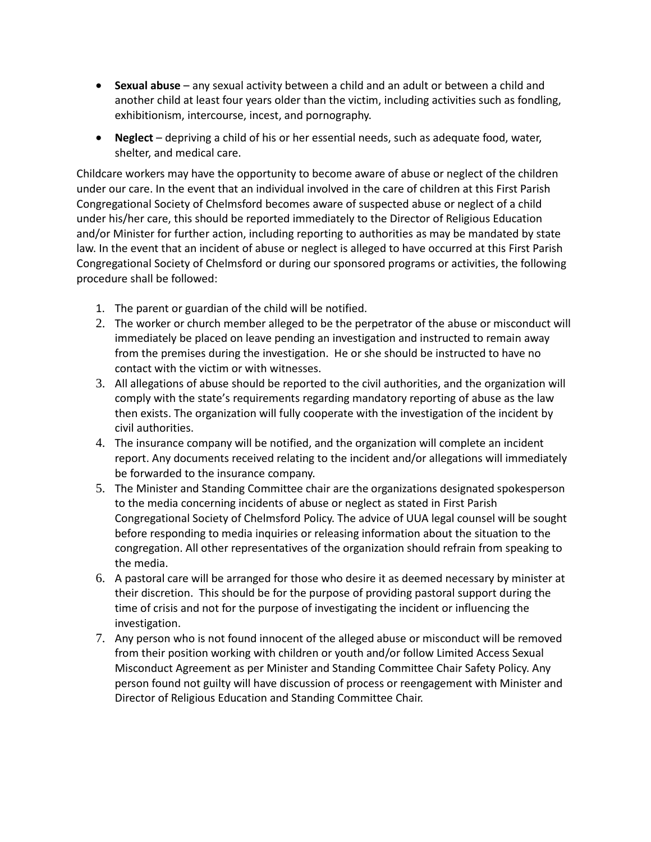- **Sexual abuse** any sexual activity between a child and an adult or between a child and another child at least four years older than the victim, including activities such as fondling, exhibitionism, intercourse, incest, and pornography.
- **Neglect** depriving a child of his or her essential needs, such as adequate food, water, shelter, and medical care.

Childcare workers may have the opportunity to become aware of abuse or neglect of the children under our care. In the event that an individual involved in the care of children at this First Parish Congregational Society of Chelmsford becomes aware of suspected abuse or neglect of a child under his/her care, this should be reported immediately to the Director of Religious Education and/or Minister for further action, including reporting to authorities as may be mandated by state law. In the event that an incident of abuse or neglect is alleged to have occurred at this First Parish Congregational Society of Chelmsford or during our sponsored programs or activities, the following procedure shall be followed:

- 1. The parent or guardian of the child will be notified.
- 2. The worker or church member alleged to be the perpetrator of the abuse or misconduct will immediately be placed on leave pending an investigation and instructed to remain away from the premises during the investigation. He or she should be instructed to have no contact with the victim or with witnesses.
- 3. All allegations of abuse should be reported to the civil authorities, and the organization will comply with the state's requirements regarding mandatory reporting of abuse as the law then exists. The organization will fully cooperate with the investigation of the incident by civil authorities.
- 4. The insurance company will be notified, and the organization will complete an incident report. Any documents received relating to the incident and/or allegations will immediately be forwarded to the insurance company.
- 5. The Minister and Standing Committee chair are the organizations designated spokesperson to the media concerning incidents of abuse or neglect as stated in First Parish Congregational Society of Chelmsford Policy. The advice of UUA legal counsel will be sought before responding to media inquiries or releasing information about the situation to the congregation. All other representatives of the organization should refrain from speaking to the media.
- 6. A pastoral care will be arranged for those who desire it as deemed necessary by minister at their discretion. This should be for the purpose of providing pastoral support during the time of crisis and not for the purpose of investigating the incident or influencing the investigation.
- 7. Any person who is not found innocent of the alleged abuse or misconduct will be removed from their position working with children or youth and/or follow Limited Access Sexual Misconduct Agreement as per Minister and Standing Committee Chair Safety Policy. Any person found not guilty will have discussion of process or reengagement with Minister and Director of Religious Education and Standing Committee Chair.